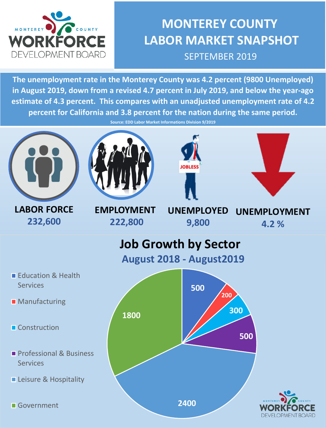

## **MONTEREY COUNTY LABOR MARKET SNAPSHOT** SEPTEMBER 2019

**The unemployment rate in the Monterey County was 4.2 percent (9800 Unemployed) in August 2019, down from a revised 4.7 percent in July 2019, and below the year-ago estimate of 4.3 percent. This compares with an unadjusted unemployment rate of 4.2 percent for California and 3.8 percent for the nation during the same period.** 

**Source: EDD Labor Market Informations Division 9/2019**